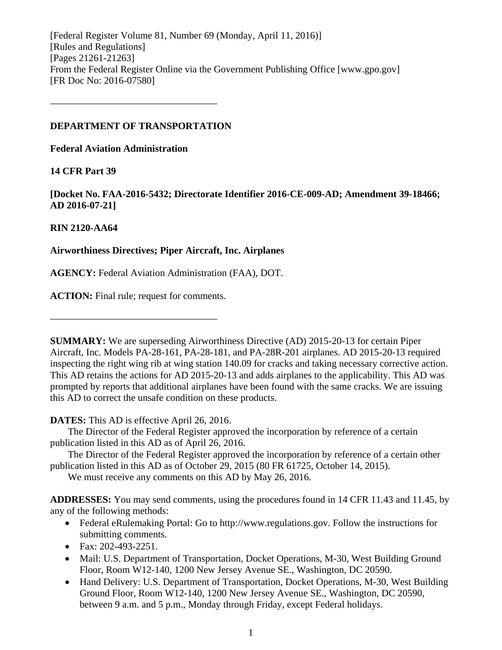[Federal Register Volume 81, Number 69 (Monday, April 11, 2016)] [Rules and Regulations] [Pages 21261-21263] From the Federal Register Online via the Government Publishing Office [www.gpo.gov] [FR Doc No: 2016-07580]

### **DEPARTMENT OF TRANSPORTATION**

––––––––––––––––––––––––––––––––––

**Federal Aviation Administration**

### **14 CFR Part 39**

**[Docket No. FAA-2016-5432; Directorate Identifier 2016-CE-009-AD; Amendment 39-18466; AD 2016-07-21]**

## **RIN 2120-AA64**

## **Airworthiness Directives; Piper Aircraft, Inc. Airplanes**

**AGENCY:** Federal Aviation Administration (FAA), DOT.

**ACTION:** Final rule; request for comments.

––––––––––––––––––––––––––––––––––

**SUMMARY:** We are superseding Airworthiness Directive (AD) 2015-20-13 for certain Piper Aircraft, Inc. Models PA-28-161, PA-28-181, and PA-28R-201 airplanes. AD 2015-20-13 required inspecting the right wing rib at wing station 140.09 for cracks and taking necessary corrective action. This AD retains the actions for AD 2015-20-13 and adds airplanes to the applicability. This AD was prompted by reports that additional airplanes have been found with the same cracks. We are issuing this AD to correct the unsafe condition on these products.

**DATES:** This AD is effective April 26, 2016.

The Director of the Federal Register approved the incorporation by reference of a certain publication listed in this AD as of April 26, 2016.

The Director of the Federal Register approved the incorporation by reference of a certain other publication listed in this AD as of October 29, 2015 (80 FR 61725, October 14, 2015).

We must receive any comments on this AD by May 26, 2016.

**ADDRESSES:** You may send comments, using the procedures found in 14 CFR 11.43 and 11.45, by any of the following methods:

- Federal eRulemaking Portal: Go to http://www.regulations.gov. Follow the instructions for submitting comments.
- Fax: 202-493-2251.
- Mail: U.S. Department of Transportation, Docket Operations, M-30, West Building Ground Floor, Room W12-140, 1200 New Jersey Avenue SE., Washington, DC 20590.
- Hand Delivery: U.S. Department of Transportation, Docket Operations, M-30, West Building Ground Floor, Room W12-140, 1200 New Jersey Avenue SE., Washington, DC 20590, between 9 a.m. and 5 p.m., Monday through Friday, except Federal holidays.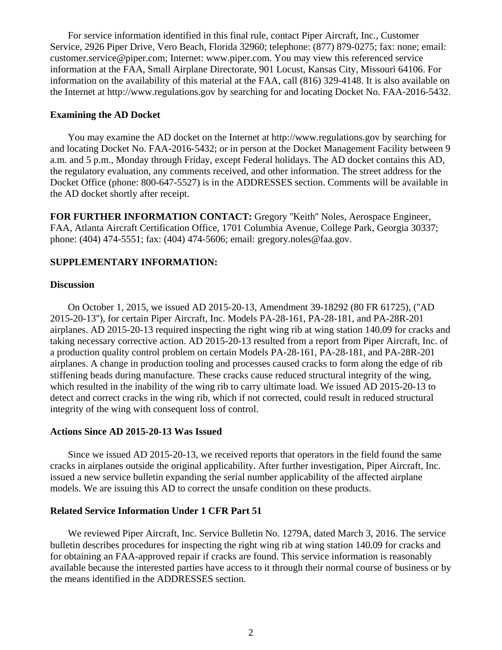For service information identified in this final rule, contact Piper Aircraft, Inc., Customer Service, 2926 Piper Drive, Vero Beach, Florida 32960; telephone: (877) 879-0275; fax: none; email: customer.service@piper.com; Internet: www.piper.com. You may view this referenced service information at the FAA, Small Airplane Directorate, 901 Locust, Kansas City, Missouri 64106. For information on the availability of this material at the FAA, call (816) 329-4148. It is also available on the Internet at http://www.regulations.gov by searching for and locating Docket No. FAA-2016-5432.

#### **Examining the AD Docket**

You may examine the AD docket on the Internet at http://www.regulations.gov by searching for and locating Docket No. FAA-2016-5432; or in person at the Docket Management Facility between 9 a.m. and 5 p.m., Monday through Friday, except Federal holidays. The AD docket contains this AD, the regulatory evaluation, any comments received, and other information. The street address for the Docket Office (phone: 800-647-5527) is in the ADDRESSES section. Comments will be available in the AD docket shortly after receipt.

**FOR FURTHER INFORMATION CONTACT:** Gregory ''Keith'' Noles, Aerospace Engineer, FAA, Atlanta Aircraft Certification Office, 1701 Columbia Avenue, College Park, Georgia 30337; phone: (404) 474-5551; fax: (404) 474-5606; email: gregory.noles@faa.gov.

### **SUPPLEMENTARY INFORMATION:**

### **Discussion**

On October 1, 2015, we issued AD 2015-20-13, Amendment 39-18292 (80 FR 61725), (''AD 2015-20-13''), for certain Piper Aircraft, Inc. Models PA-28-161, PA-28-181, and PA-28R-201 airplanes. AD 2015-20-13 required inspecting the right wing rib at wing station 140.09 for cracks and taking necessary corrective action. AD 2015-20-13 resulted from a report from Piper Aircraft, Inc. of a production quality control problem on certain Models PA-28-161, PA-28-181, and PA-28R-201 airplanes. A change in production tooling and processes caused cracks to form along the edge of rib stiffening beads during manufacture. These cracks cause reduced structural integrity of the wing, which resulted in the inability of the wing rib to carry ultimate load. We issued AD 2015-20-13 to detect and correct cracks in the wing rib, which if not corrected, could result in reduced structural integrity of the wing with consequent loss of control.

#### **Actions Since AD 2015-20-13 Was Issued**

Since we issued AD 2015-20-13, we received reports that operators in the field found the same cracks in airplanes outside the original applicability. After further investigation, Piper Aircraft, Inc. issued a new service bulletin expanding the serial number applicability of the affected airplane models. We are issuing this AD to correct the unsafe condition on these products.

### **Related Service Information Under 1 CFR Part 51**

We reviewed Piper Aircraft, Inc. Service Bulletin No. 1279A, dated March 3, 2016. The service bulletin describes procedures for inspecting the right wing rib at wing station 140.09 for cracks and for obtaining an FAA-approved repair if cracks are found. This service information is reasonably available because the interested parties have access to it through their normal course of business or by the means identified in the ADDRESSES section.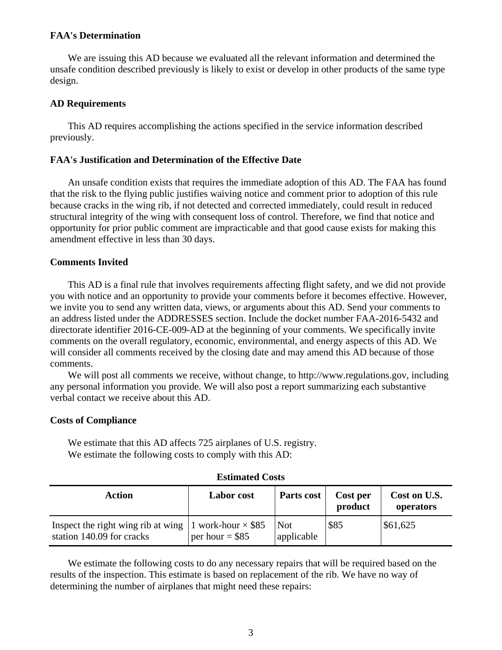#### **FAA's Determination**

We are issuing this AD because we evaluated all the relevant information and determined the unsafe condition described previously is likely to exist or develop in other products of the same type design.

### **AD Requirements**

This AD requires accomplishing the actions specified in the service information described previously.

### **FAA's Justification and Determination of the Effective Date**

An unsafe condition exists that requires the immediate adoption of this AD. The FAA has found that the risk to the flying public justifies waiving notice and comment prior to adoption of this rule because cracks in the wing rib, if not detected and corrected immediately, could result in reduced structural integrity of the wing with consequent loss of control. Therefore, we find that notice and opportunity for prior public comment are impracticable and that good cause exists for making this amendment effective in less than 30 days.

### **Comments Invited**

This AD is a final rule that involves requirements affecting flight safety, and we did not provide you with notice and an opportunity to provide your comments before it becomes effective. However, we invite you to send any written data, views, or arguments about this AD. Send your comments to an address listed under the ADDRESSES section. Include the docket number FAA-2016-5432 and directorate identifier 2016-CE-009-AD at the beginning of your comments. We specifically invite comments on the overall regulatory, economic, environmental, and energy aspects of this AD. We will consider all comments received by the closing date and may amend this AD because of those comments.

We will post all comments we receive, without change, to http://www.regulations.gov, including any personal information you provide. We will also post a report summarizing each substantive verbal contact we receive about this AD.

#### **Costs of Compliance**

We estimate that this AD affects 725 airplanes of U.S. registry. We estimate the following costs to comply with this AD:

# **Estimated Costs**

| <b>Action</b>                                                                             | <b>Labor</b> cost | Parts cost               | Cost per<br>product | Cost on U.S.<br>operators |
|-------------------------------------------------------------------------------------------|-------------------|--------------------------|---------------------|---------------------------|
| Inspect the right wing rib at wing 1 work-hour $\times$ \$85<br>station 140.09 for cracks | per hour = $$85$  | <b>Not</b><br>applicable | \$85                | \$61,625                  |

We estimate the following costs to do any necessary repairs that will be required based on the results of the inspection. This estimate is based on replacement of the rib. We have no way of determining the number of airplanes that might need these repairs: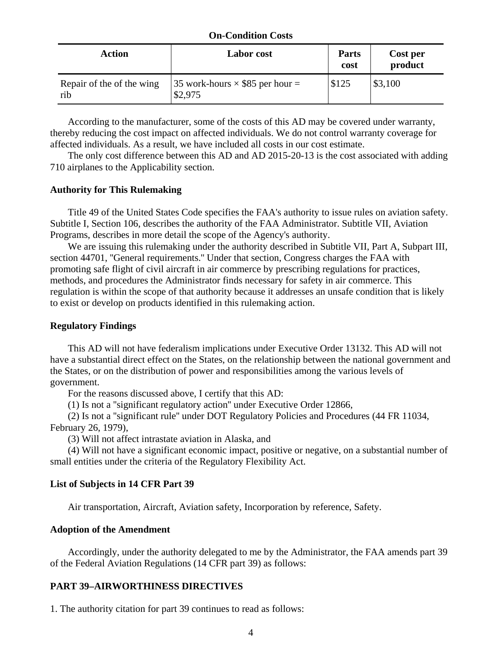#### **On-Condition Costs**

| <b>Action</b>                    | <b>Labor</b> cost                                 | <b>Parts</b><br>cost | Cost per<br>product |
|----------------------------------|---------------------------------------------------|----------------------|---------------------|
| Repair of the of the wing<br>rib | 35 work-hours $\times$ \$85 per hour =<br>\$2,975 | \$125                | \$3,100             |

According to the manufacturer, some of the costs of this AD may be covered under warranty, thereby reducing the cost impact on affected individuals. We do not control warranty coverage for affected individuals. As a result, we have included all costs in our cost estimate.

The only cost difference between this AD and AD 2015-20-13 is the cost associated with adding 710 airplanes to the Applicability section.

#### **Authority for This Rulemaking**

Title 49 of the United States Code specifies the FAA's authority to issue rules on aviation safety. Subtitle I, Section 106, describes the authority of the FAA Administrator. Subtitle VII, Aviation Programs, describes in more detail the scope of the Agency's authority.

We are issuing this rulemaking under the authority described in Subtitle VII, Part A, Subpart III, section 44701, "General requirements." Under that section, Congress charges the FAA with promoting safe flight of civil aircraft in air commerce by prescribing regulations for practices, methods, and procedures the Administrator finds necessary for safety in air commerce. This regulation is within the scope of that authority because it addresses an unsafe condition that is likely to exist or develop on products identified in this rulemaking action.

#### **Regulatory Findings**

This AD will not have federalism implications under Executive Order 13132. This AD will not have a substantial direct effect on the States, on the relationship between the national government and the States, or on the distribution of power and responsibilities among the various levels of government.

For the reasons discussed above, I certify that this AD:

(1) Is not a ''significant regulatory action'' under Executive Order 12866,

(2) Is not a ''significant rule'' under DOT Regulatory Policies and Procedures (44 FR 11034, February 26, 1979),

(3) Will not affect intrastate aviation in Alaska, and

(4) Will not have a significant economic impact, positive or negative, on a substantial number of small entities under the criteria of the Regulatory Flexibility Act.

#### **List of Subjects in 14 CFR Part 39**

Air transportation, Aircraft, Aviation safety, Incorporation by reference, Safety.

#### **Adoption of the Amendment**

Accordingly, under the authority delegated to me by the Administrator, the FAA amends part 39 of the Federal Aviation Regulations (14 CFR part 39) as follows:

### **PART 39–AIRWORTHINESS DIRECTIVES**

1. The authority citation for part 39 continues to read as follows: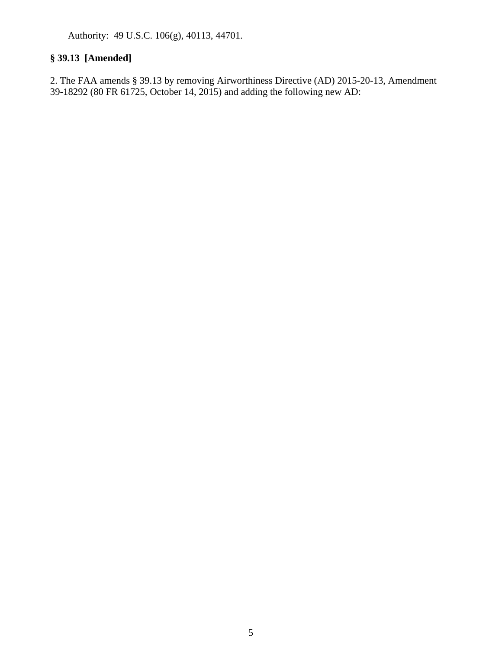Authority: 49 U.S.C. 106(g), 40113, 44701.

# **§ 39.13 [Amended]**

2. The FAA amends § 39.13 by removing Airworthiness Directive (AD) 2015-20-13, Amendment 39-18292 (80 FR 61725, October 14, 2015) and adding the following new AD: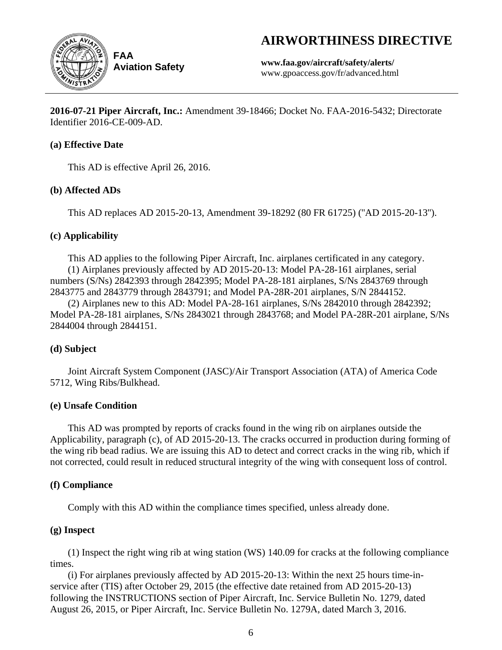# **AIRWORTHINESS DIRECTIVE**



**Aviation Safety**

**www.faa.gov/aircraft/safety/alerts/** www.gpoaccess.gov/fr/advanced.html

**2016-07-21 Piper Aircraft, Inc.:** Amendment 39-18466; Docket No. FAA-2016-5432; Directorate Identifier 2016-CE-009-AD.

# **(a) Effective Date**

This AD is effective April 26, 2016.

# **(b) Affected ADs**

This AD replaces AD 2015-20-13, Amendment 39-18292 (80 FR 61725) (''AD 2015-20-13'').

# **(c) Applicability**

This AD applies to the following Piper Aircraft, Inc. airplanes certificated in any category. (1) Airplanes previously affected by AD 2015-20-13: Model PA-28-161 airplanes, serial numbers (S/Ns) 2842393 through 2842395; Model PA-28-181 airplanes, S/Ns 2843769 through 2843775 and 2843779 through 2843791; and Model PA-28R-201 airplanes, S/N 2844152.

(2) Airplanes new to this AD: Model PA-28-161 airplanes, S/Ns 2842010 through 2842392; Model PA-28-181 airplanes, S/Ns 2843021 through 2843768; and Model PA-28R-201 airplane, S/Ns 2844004 through 2844151.

# **(d) Subject**

Joint Aircraft System Component (JASC)/Air Transport Association (ATA) of America Code 5712, Wing Ribs/Bulkhead.

# **(e) Unsafe Condition**

This AD was prompted by reports of cracks found in the wing rib on airplanes outside the Applicability, paragraph (c), of AD 2015-20-13. The cracks occurred in production during forming of the wing rib bead radius. We are issuing this AD to detect and correct cracks in the wing rib, which if not corrected, could result in reduced structural integrity of the wing with consequent loss of control.

# **(f) Compliance**

Comply with this AD within the compliance times specified, unless already done.

# **(g) Inspect**

(1) Inspect the right wing rib at wing station (WS) 140.09 for cracks at the following compliance times.

(i) For airplanes previously affected by AD 2015-20-13: Within the next 25 hours time-inservice after (TIS) after October 29, 2015 (the effective date retained from AD 2015-20-13) following the INSTRUCTIONS section of Piper Aircraft, Inc. Service Bulletin No. 1279, dated August 26, 2015, or Piper Aircraft, Inc. Service Bulletin No. 1279A, dated March 3, 2016.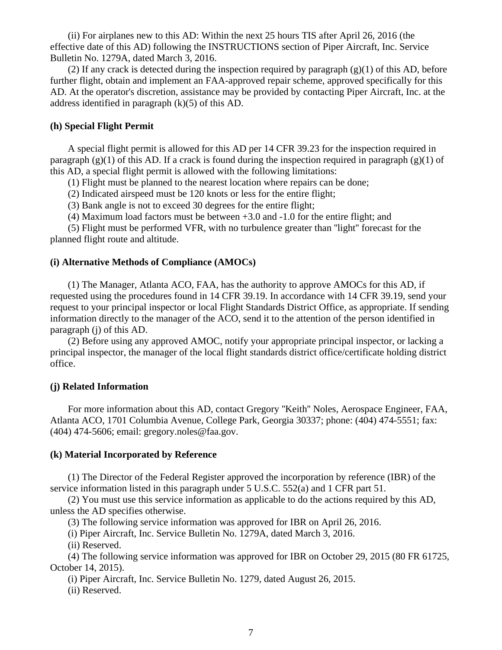(ii) For airplanes new to this AD: Within the next 25 hours TIS after April 26, 2016 (the effective date of this AD) following the INSTRUCTIONS section of Piper Aircraft, Inc. Service Bulletin No. 1279A, dated March 3, 2016.

(2) If any crack is detected during the inspection required by paragraph  $(g)(1)$  of this AD, before further flight, obtain and implement an FAA-approved repair scheme, approved specifically for this AD. At the operator's discretion, assistance may be provided by contacting Piper Aircraft, Inc. at the address identified in paragraph (k)(5) of this AD.

#### **(h) Special Flight Permit**

A special flight permit is allowed for this AD per 14 CFR 39.23 for the inspection required in paragraph  $(g)(1)$  of this AD. If a crack is found during the inspection required in paragraph  $(g)(1)$  of this AD, a special flight permit is allowed with the following limitations:

(1) Flight must be planned to the nearest location where repairs can be done;

(2) Indicated airspeed must be 120 knots or less for the entire flight;

(3) Bank angle is not to exceed 30 degrees for the entire flight;

(4) Maximum load factors must be between +3.0 and -1.0 for the entire flight; and

(5) Flight must be performed VFR, with no turbulence greater than ''light'' forecast for the planned flight route and altitude.

#### **(i) Alternative Methods of Compliance (AMOCs)**

(1) The Manager, Atlanta ACO, FAA, has the authority to approve AMOCs for this AD, if requested using the procedures found in 14 CFR 39.19. In accordance with 14 CFR 39.19, send your request to your principal inspector or local Flight Standards District Office, as appropriate. If sending information directly to the manager of the ACO, send it to the attention of the person identified in paragraph (j) of this AD.

(2) Before using any approved AMOC, notify your appropriate principal inspector, or lacking a principal inspector, the manager of the local flight standards district office/certificate holding district office.

#### **(j) Related Information**

For more information about this AD, contact Gregory ''Keith'' Noles, Aerospace Engineer, FAA, Atlanta ACO, 1701 Columbia Avenue, College Park, Georgia 30337; phone: (404) 474-5551; fax: (404) 474-5606; email: gregory.noles@faa.gov.

#### **(k) Material Incorporated by Reference**

(1) The Director of the Federal Register approved the incorporation by reference (IBR) of the service information listed in this paragraph under 5 U.S.C. 552(a) and 1 CFR part 51.

(2) You must use this service information as applicable to do the actions required by this AD, unless the AD specifies otherwise.

(3) The following service information was approved for IBR on April 26, 2016.

(i) Piper Aircraft, Inc. Service Bulletin No. 1279A, dated March 3, 2016.

(ii) Reserved.

(4) The following service information was approved for IBR on October 29, 2015 (80 FR 61725, October 14, 2015).

(i) Piper Aircraft, Inc. Service Bulletin No. 1279, dated August 26, 2015.

(ii) Reserved.